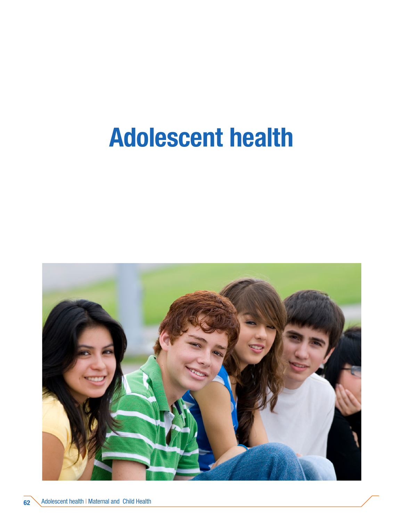# Adolescent health

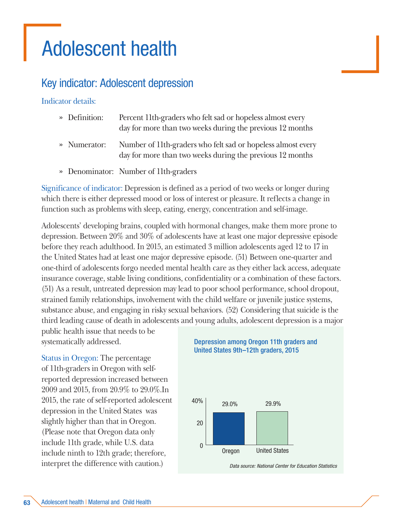## Adolescent health

## Key indicator: Adolescent depression

#### Indicator details:

| » Definition: | Percent 11th-graders who felt sad or hopeless almost every<br>day for more than two weeks during the previous 12 months                |
|---------------|----------------------------------------------------------------------------------------------------------------------------------------|
| » Numerator:  | Number of 11 <sup>th</sup> -graders who felt sad or hopeless almost every<br>day for more than two weeks during the previous 12 months |

» Denominator: Number of 11th-graders

Significance of indicator: Depression is defined as a period of two weeks or longer during which there is either depressed mood or loss of interest or pleasure. It reflects a change in function such as problems with sleep, eating, energy, concentration and self-image.

Adolescents' developing brains, coupled with hormonal changes, make them more prone to depression. Between 20% and 30% of adolescents have at least one major depressive episode before they reach adulthood. In 2015, an estimated 3 million adolescents aged 12 to 17 in the United States had at least one major depressive episode. (51) Between one-quarter and one-third of adolescents forgo needed mental health care as they either lack access, adequate insurance coverage, stable living conditions, confidentiality or a combination of these factors. (51) As a result, untreated depression may lead to poor school performance, school dropout, strained family relationships, involvement with the child welfare or juvenile justice systems, substance abuse, and engaging in risky sexual behaviors. (52) Considering that suicide is the third leading cause of death in adolescents and young adults, adolescent depression is a major

public health issue that needs to be systematically addressed.

Status in Oregon: The percentage of 11th-graders in Oregon with selfreported depression increased between 2009 and 2015, from 20.9% to 29.0%.In 2015, the rate of self-reported adolescent depression in the United States was slightly higher than that in Oregon. (Please note that Oregon data only include 11th grade, while U.S. data include ninth to 12th grade; therefore, interpret the difference with caution.)

#### Depression among Oregon 11th graders and United States 9th–12th graders, 2015



*Data source: National Center for Education Statistics*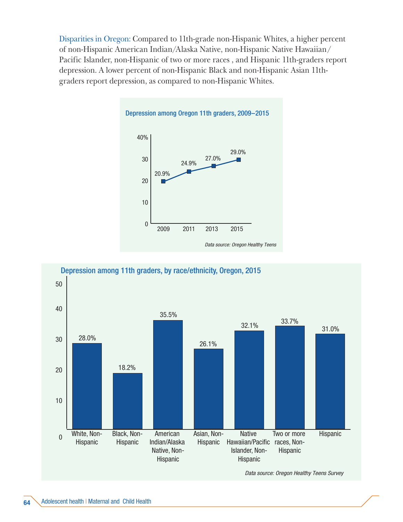Disparities in Oregon: Compared to 11th-grade non-Hispanic Whites, a higher percent of non-Hispanic American Indian/Alaska Native, non-Hispanic Native Hawaiian/ Pacific Islander, non-Hispanic of two or more races , and Hispanic 11th-graders report depression. A lower percent of non-Hispanic Black and non-Hispanic Asian 11thgraders report depression, as compared to non-Hispanic Whites.



#### $\overline{0}$ 10 20 30 40 50 Two or more Hispanic Hawaiian/Pacific races, Non-Hispanic **Native** Islander, Non-Hispanic Asian, Non-Hispanic American Indian/Alaska Native, Non-Hispanic Black, Non-Hispanic White, Non-Hispanic 28.0% 35.5% 18.2% 26.1% 32.1% 33.7% 31.0% Depression among 11th graders, by race/ethnicity, Oregon, 2015

*Data source: Oregon Healthy Teens Survey*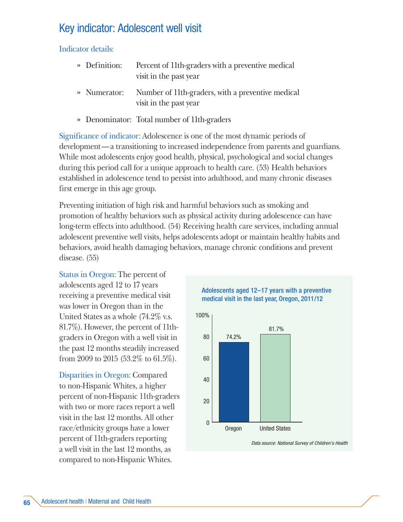## Key indicator: Adolescent well visit

Indicator details:

- » Definition: Percent of 11th-graders with a preventive medical visit in the past year
- » Numerator: Number of 11th-graders, with a preventive medical visit in the past year
- » Denominator: Total number of 11th-graders

Significance of indicator: Adolescence is one of the most dynamic periods of development—a transitioning to increased independence from parents and guardians. While most adolescents enjoy good health, physical, psychological and social changes during this period call for a unique approach to health care. (53) Health behaviors established in adolescence tend to persist into adulthood, and many chronic diseases first emerge in this age group.

Preventing initiation of high risk and harmful behaviors such as smoking and promotion of healthy behaviors such as physical activity during adolescence can have long-term effects into adulthood. (54) Receiving health care services, including annual adolescent preventive well visits, helps adolescents adopt or maintain healthy habits and behaviors, avoid health damaging behaviors, manage chronic conditions and prevent disease. (55)

Status in Oregon: The percent of adolescents aged 12 to 17 years receiving a preventive medical visit was lower in Oregon than in the United States as a whole (74.2% v.s. 81.7%). However, the percent of 11thgraders in Oregon with a well visit in the past 12 months steadily increased from 2009 to 2015 (53.2% to 61.5%).

Disparities in Oregon: Compared to non-Hispanic Whites, a higher percent of non-Hispanic 11th-graders with two or more races report a well visit in the last 12 months. All other race/ethnicity groups have a lower percent of 11th-graders reporting a well visit in the last 12 months, as compared to non-Hispanic Whites.





*Data source: National Survey of Children's Health*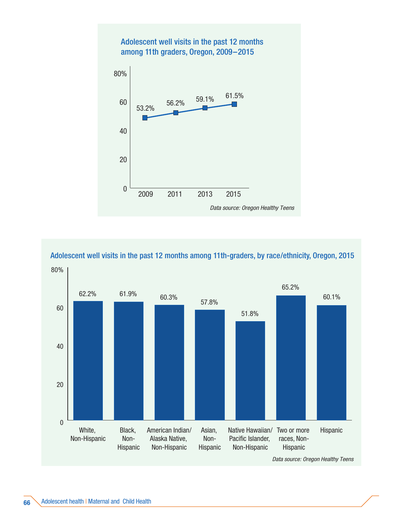

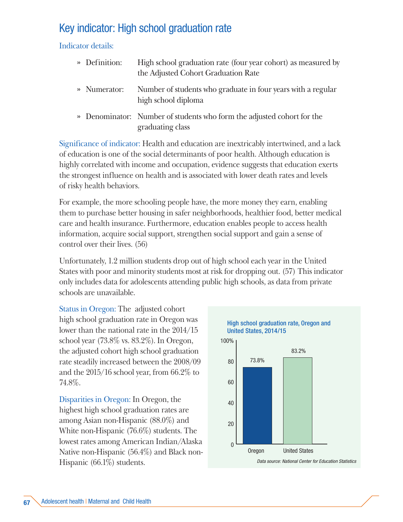## Key indicator: High school graduation rate

Indicator details:

| » Definition: | High school graduation rate (four year cohort) as measured by<br>the Adjusted Cohort Graduation Rate |
|---------------|------------------------------------------------------------------------------------------------------|
| » Numerator:  | Number of students who graduate in four years with a regular<br>high school diploma                  |
|               | » Denominator: Number of students who form the adjusted cohort for the<br>graduating class           |

Significance of indicator: Health and education are inextricably intertwined, and a lack of education is one of the social determinants of poor health. Although education is highly correlated with income and occupation, evidence suggests that education exerts the strongest influence on health and is associated with lower death rates and levels of risky health behaviors.

For example, the more schooling people have, the more money they earn, enabling them to purchase better housing in safer neighborhoods, healthier food, better medical care and health insurance. Furthermore, education enables people to access health information, acquire social support, strengthen social support and gain a sense of control over their lives. (56)

Unfortunately, 1.2 million students drop out of high school each year in the United States with poor and minority students most at risk for dropping out. (57) This indicator only includes data for adolescents attending public high schools, as data from private schools are unavailable.

Status in Oregon: The adjusted cohort high school graduation rate in Oregon was lower than the national rate in the 2014/15 school year (73.8% vs. 83.2%). In Oregon, the adjusted cohort high school graduation rate steadily increased between the 2008/09 and the 2015/16 school year, from 66.2% to 74.8%.

Disparities in Oregon: In Oregon, the highest high school graduation rates are among Asian non-Hispanic (88.0%) and White non-Hispanic (76.6%) students. The lowest rates among American Indian/Alaska Native non-Hispanic (56.4%) and Black non-Hispanic (66.1%) students.